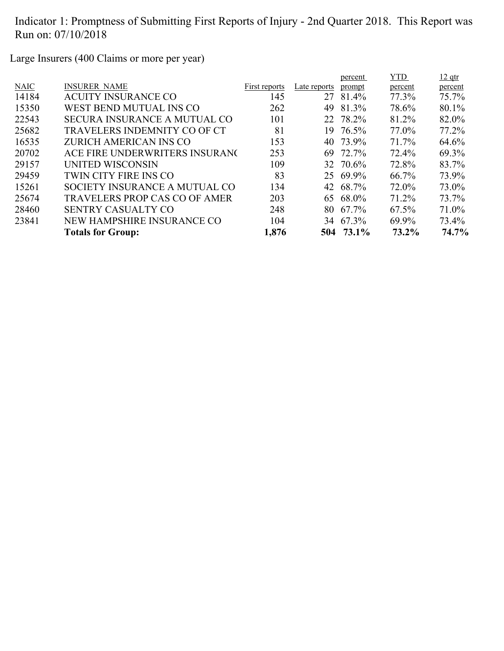Large Insurers (400 Claims or more per year)

|             |                                      |               |              | percent   | <b>YTD</b> | $12$ qtr |
|-------------|--------------------------------------|---------------|--------------|-----------|------------|----------|
| <b>NAIC</b> | <b>INSURER NAME</b>                  | First reports | Late reports | prompt    | percent    | percent  |
| 14184       | <b>ACUITY INSURANCE CO</b>           | 145           | 27           | 81.4%     | 77.3%      | 75.7%    |
| 15350       | WEST BEND MUTUAL INS CO              | 262           | 49           | 81.3%     | 78.6%      | 80.1%    |
| 22543       | <b>SECURA INSURANCE A MUTUAL CO</b>  | 101           |              | 22 78.2%  | 81.2%      | 82.0%    |
| 25682       | TRAVELERS INDEMNITY CO OF CT         | 81            | 19.          | 76.5%     | 77.0%      | 77.2%    |
| 16535       | ZURICH AMERICAN INS CO               | 153           | 40           | 73.9%     | 71.7%      | 64.6%    |
| 20702       | ACE FIRE UNDERWRITERS INSURANO       | 253           | 69           | 72.7%     | 72.4%      | 69.3%    |
| 29157       | UNITED WISCONSIN                     | 109           |              | 32 70.6%  | 72.8%      | 83.7%    |
| 29459       | TWIN CITY FIRE INS CO                | 83            |              | 25 69.9%  | $66.7\%$   | 73.9%    |
| 15261       | SOCIETY INSURANCE A MUTUAL CO        | 134           |              | 42 68.7%  | 72.0%      | 73.0%    |
| 25674       | <b>TRAVELERS PROP CAS CO OF AMER</b> | 203           |              | 65 68.0%  | 71.2%      | 73.7%    |
| 28460       | <b>SENTRY CASUALTY CO</b>            | 248           | 80           | 67.7%     | $67.5\%$   | 71.0%    |
| 23841       | NEW HAMPSHIRE INSURANCE CO           | 104           |              | 34 67.3%  | 69.9%      | 73.4%    |
|             | <b>Totals for Group:</b>             | 1,876         |              | 504 73.1% | 73.2%      | 74.7%    |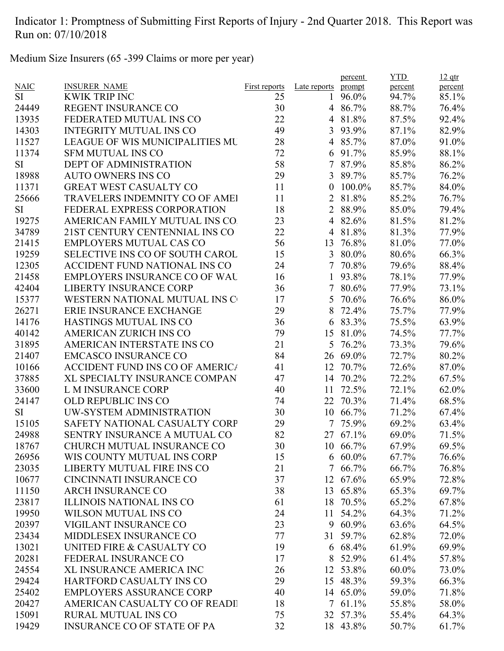Medium Size Insurers (65 -399 Claims or more per year)

|             |                                        |               |                  | percent    | <b>YTD</b> | $12$ qtr |
|-------------|----------------------------------------|---------------|------------------|------------|------------|----------|
| <b>NAIC</b> | <b>INSURER NAME</b>                    | First reports | Late reports     | prompt     | percent    | percent  |
| SI          | <b>KWIK TRIP INC</b>                   | 25            | 1                | 96.0%      | 94.7%      | 85.1%    |
| 24449       | REGENT INSURANCE CO                    | 30            |                  | 4 86.7%    | 88.7%      | 76.4%    |
| 13935       | FEDERATED MUTUAL INS CO                | 22            | $\overline{4}$   | 81.8%      | 87.5%      | 92.4%    |
| 14303       | <b>INTEGRITY MUTUAL INS CO</b>         | 49            | 3                | 93.9%      | 87.1%      | 82.9%    |
| 11527       | <b>LEAGUE OF WIS MUNICIPALITIES MU</b> | 28            |                  | 4 85.7%    | 87.0%      | 91.0%    |
| 11374       | <b>SFM MUTUAL INS CO</b>               | 72            |                  | 6 91.7%    | 85.9%      | 88.1%    |
| <b>SI</b>   | <b>DEPT OF ADMINISTRATION</b>          | 58            | $\tau$           | 87.9%      | 85.8%      | 86.2%    |
| 18988       | <b>AUTO OWNERS INS CO</b>              | 29            |                  | 3 89.7%    | 85.7%      | 76.2%    |
| 11371       | <b>GREAT WEST CASUALTY CO</b>          | 11            | $\boldsymbol{0}$ | 100.0%     | 85.7%      | 84.0%    |
| 25666       | <b>TRAVELERS INDEMNITY CO OF AMEI</b>  | 11            | 2                | 81.8%      | 85.2%      | 76.7%    |
| <b>SI</b>   | FEDERAL EXPRESS CORPORATION            | 18            | 2                | 88.9%      | 85.0%      | 79.4%    |
| 19275       | AMERICAN FAMILY MUTUAL INS CO.         | 23            | 4                | 82.6%      | 81.5%      | 81.2%    |
| 34789       | 21ST CENTURY CENTENNIAL INS CO         | 22            | $\overline{4}$   | 81.8%      | 81.3%      | 77.9%    |
| 21415       | <b>EMPLOYERS MUTUAL CAS CO</b>         | 56            | 13               | 76.8%      | 81.0%      | 77.0%    |
| 19259       | SELECTIVE INS CO OF SOUTH CAROL        | 15            | 3                | 80.0%      | 80.6%      | 66.3%    |
| 12305       | ACCIDENT FUND NATIONAL INS CO          | 24            | $\overline{7}$   | 70.8%      | 79.6%      | 88.4%    |
| 21458       | <b>EMPLOYERS INSURANCE CO OF WAL</b>   | 16            | 1                | 93.8%      | 78.1%      | 77.9%    |
| 42404       | <b>LIBERTY INSURANCE CORP</b>          | 36            | $\overline{7}$   | 80.6%      | 77.9%      | 73.1%    |
| 15377       | WESTERN NATIONAL MUTUAL INS C          | 17            | 5                | 70.6%      | 76.6%      | 86.0%    |
| 26271       | <b>ERIE INSURANCE EXCHANGE</b>         | 29            | 8                | 72.4%      | 75.7%      | 77.9%    |
| 14176       | HASTINGS MUTUAL INS CO                 | 36            |                  | 6 83.3%    | 75.5%      | 63.9%    |
| 40142       | <b>AMERICAN ZURICH INS CO</b>          | 79            |                  | 15 81.0%   | 74.5%      | 77.7%    |
| 31895       | AMERICAN INTERSTATE INS CO             | 21            | 5                | 76.2%      | 73.3%      | 79.6%    |
| 21407       | <b>EMCASCO INSURANCE CO</b>            | 84            |                  | 26 69.0%   | 72.7%      | 80.2%    |
| 10166       | <b>ACCIDENT FUND INS CO OF AMERICA</b> | 41            | 12               | 70.7%      | 72.6%      | 87.0%    |
| 37885       | XL SPECIALTY INSURANCE COMPAN          | 47            | 14               | 70.2%      | 72.2%      | 67.5%    |
| 33600       | <b>L M INSURANCE CORP</b>              | 40            | 11               | 72.5%      | 72.1%      | 62.0%    |
| 24147       | OLD REPUBLIC INS CO                    | 74            | 22               | 70.3%      | 71.4%      | 68.5%    |
| <b>SI</b>   | UW-SYSTEM ADMINISTRATION               | 30            | 10               | 66.7%      | 71.2%      | 67.4%    |
| 15105       | SAFETY NATIONAL CASUALTY CORP          | 29            | 7                | 75.9%      | 69.2%      | 63.4%    |
| 24988       | SENTRY INSURANCE A MUTUAL CO           | 82            |                  | 27 67.1%   | 69.0%      | 71.5%    |
| 18767       | CHURCH MUTUAL INSURANCE CO             | 30            |                  | 10 66.7%   | 67.9%      | 69.5%    |
| 26956       | WIS COUNTY MUTUAL INS CORP             | 15            | 6                | $60.0\%$   | 67.7%      | 76.6%    |
| 23035       | LIBERTY MUTUAL FIRE INS CO             | 21            |                  | 7 66.7%    | 66.7%      | 76.8%    |
| 10677       | <b>CINCINNATI INSURANCE CO</b>         | 37            | 12               | 67.6%      | 65.9%      | 72.8%    |
| 11150       | <b>ARCH INSURANCE CO</b>               | 38            | 13               | 65.8%      | 65.3%      | 69.7%    |
| 23817       | <b>ILLINOIS NATIONAL INS CO</b>        | 61            | 18               | 70.5%      | 65.2%      | 67.8%    |
| 19950       | <b>WILSON MUTUAL INS CO</b>            | 24            | 11               | 54.2%      | 64.3%      | 71.2%    |
| 20397       | VIGILANT INSURANCE CO                  | 23            |                  | 9 60.9%    | 63.6%      | 64.5%    |
| 23434       | MIDDLESEX INSURANCE CO                 | 77            | 31               | 59.7%      | 62.8%      | 72.0%    |
| 13021       | UNITED FIRE & CASUALTY CO              | 19            |                  | 6 68.4%    | 61.9%      | 69.9%    |
| 20281       | FEDERAL INSURANCE CO                   | 17            | 8                | 52.9%      | 61.4%      | 57.8%    |
| 24554       | XL INSURANCE AMERICA INC               | 26            | 12               | 53.8%      | $60.0\%$   | 73.0%    |
| 29424       | HARTFORD CASUALTY INS CO               | 29            |                  | 15 48.3%   | 59.3%      | 66.3%    |
| 25402       | <b>EMPLOYERS ASSURANCE CORP</b>        | 40            |                  | 14 65.0%   | 59.0%      | 71.8%    |
| 20427       | AMERICAN CASUALTY CO OF READI          | 18            |                  | $7,61.1\%$ | 55.8%      | 58.0%    |
| 15091       | <b>RURAL MUTUAL INS CO</b>             | 75            |                  | 32 57.3%   | 55.4%      | 64.3%    |
| 19429       | <b>INSURANCE CO OF STATE OF PA</b>     | 32            |                  | 18 43.8%   | 50.7%      | 61.7%    |
|             |                                        |               |                  |            |            |          |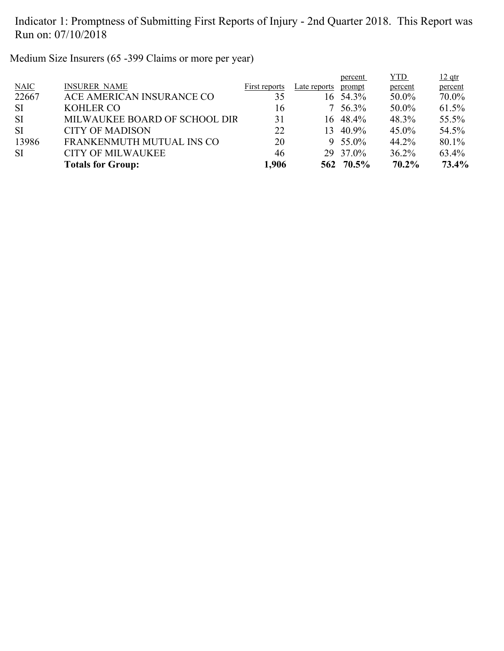Medium Size Insurers (65 -399 Claims or more per year)

|             | <b>Totals for Group:</b>      | 1,906         |                 | 562 70.5%   | $70.2\%$   | 73.4%    |
|-------------|-------------------------------|---------------|-----------------|-------------|------------|----------|
| <b>SI</b>   | <b>CITY OF MILWAUKEE</b>      | 46            |                 | 29 37.0%    | 36.2%      | 63.4%    |
| 13986       | FRANKENMUTH MUTUAL INS CO     | 20            |                 | 9 $55.0\%$  | 44.2%      | 80.1%    |
| <b>SI</b>   | <b>CITY OF MADISON</b>        | 22            | 13 <sup>7</sup> | 40.9%       | $45.0\%$   | 54.5%    |
| <b>SI</b>   | MILWAUKEE BOARD OF SCHOOL DIR | 31            |                 | 16 48.4%    | 48.3%      | 55.5%    |
| -SI         | <b>KOHLER CO</b>              | 16            |                 | $7\,56.3\%$ | 50.0%      | 61.5%    |
| 22667       | ACE AMERICAN INSURANCE CO     | 35            |                 | 16 54.3%    | 50.0%      | 70.0%    |
| <b>NAIC</b> | <b>INSURER NAME</b>           | First reports | Late reports    | prompt      | percent    | percent  |
|             |                               |               |                 | percent     | <b>YTD</b> | $12$ qtr |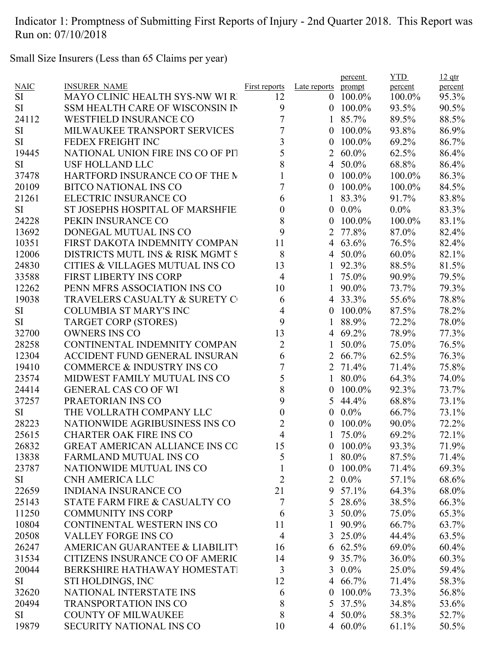Small Size Insurers (Less than 65 Claims per year)

|             |                                       |                         |                  | percent      | <b>YTD</b> | $12$ qtr |
|-------------|---------------------------------------|-------------------------|------------------|--------------|------------|----------|
| <b>NAIC</b> | <b>INSURER NAME</b>                   | <b>First reports</b>    | Late reports     | prompt       | percent    | percent  |
| <b>SI</b>   | MAYO CLINIC HEALTH SYS-NW WI R        | 12                      | $\theta$         | $100.0\%$    | 100.0%     | 95.3%    |
| <b>SI</b>   | SSM HEALTH CARE OF WISCONSIN IN       | 9                       | $\overline{0}$   | $100.0\%$    | 93.5%      | 90.5%    |
| 24112       | <b>WESTFIELD INSURANCE CO</b>         | 7                       | $\mathbf{1}$     | 85.7%        | 89.5%      | 88.5%    |
| <b>SI</b>   | MILWAUKEE TRANSPORT SERVICES          | $\overline{7}$          | $\overline{0}$   | 100.0%       | 93.8%      | 86.9%    |
| <b>SI</b>   | FEDEX FREIGHT INC                     | $\overline{\mathbf{3}}$ | $\overline{0}$   | 100.0%       | 69.2%      | 86.7%    |
| 19445       | NATIONAL UNION FIRE INS CO OF PIT     | 5                       | 2                | $60.0\%$     | 62.5%      | 86.4%    |
| <b>SI</b>   | <b>USF HOLLAND LLC</b>                | 8                       |                  | 4 50.0%      | 68.8%      | 86.4%    |
| 37478       | HARTFORD INSURANCE CO OF THE M        |                         | $\overline{0}$   | $100.0\%$    | 100.0%     | 86.3%    |
| 20109       | <b>BITCO NATIONAL INS CO</b>          | 7                       | $\overline{0}$   | $100.0\%$    | 100.0%     | 84.5%    |
| 21261       | ELECTRIC INSURANCE CO                 | 6                       | $\mathbf{1}$     | 83.3%        | 91.7%      | 83.8%    |
| <b>SI</b>   | ST JOSEPHS HOSPITAL OF MARSHFIE       | $\boldsymbol{0}$        | $\boldsymbol{0}$ | $0.0\%$      | $0.0\%$    | 83.3%    |
| 24228       | PEKIN INSURANCE CO                    | 8                       | $\overline{0}$   | 100.0%       | 100.0%     | 83.1%    |
| 13692       | DONEGAL MUTUAL INS CO                 | 9                       | 2                | 77.8%        | 87.0%      | 82.4%    |
| 10351       | FIRST DAKOTA INDEMNITY COMPAN         | 11                      | 4                | 63.6%        | 76.5%      | 82.4%    |
| 12006       | DISTRICTS MUTL INS & RISK MGMT S      | 8                       |                  | 4 50.0%      | $60.0\%$   | 82.1%    |
| 24830       | CITIES & VILLAGES MUTUAL INS CO       | 13                      |                  | 92.3%        | 88.5%      | 81.5%    |
| 33588       | <b>FIRST LIBERTY INS CORP</b>         | $\overline{4}$          | 1                | 75.0%        | 90.9%      | 79.5%    |
| 12262       | PENN MFRS ASSOCIATION INS CO          | 10                      | 1                | 90.0%        | 73.7%      | 79.3%    |
| 19038       | TRAVELERS CASUALTY & SURETY C         | 6                       |                  | 4 33.3%      | 55.6%      | 78.8%    |
| SI          | <b>COLUMBIA ST MARY'S INC</b>         | 4                       | $\overline{0}$   | 100.0%       | 87.5%      | 78.2%    |
| <b>SI</b>   | <b>TARGET CORP (STORES)</b>           | 9                       |                  | 88.9%        | 72.2%      | 78.0%    |
| 32700       | <b>OWNERS INS CO</b>                  | 13                      | 4                | 69.2%        | 78.9%      | 77.3%    |
| 28258       | CONTINENTAL INDEMNITY COMPAN          | $\overline{2}$          |                  | 50.0%        | 75.0%      | 76.5%    |
| 12304       | ACCIDENT FUND GENERAL INSURAN         | 6                       |                  | 2 66.7%      | 62.5%      | 76.3%    |
| 19410       | <b>COMMERCE &amp; INDUSTRY INS CO</b> | $\overline{7}$          |                  | 2 71.4%      | 71.4%      | 75.8%    |
| 23574       | MIDWEST FAMILY MUTUAL INS CO          | 5                       | $\mathbf{1}$     | 80.0%        | 64.3%      | 74.0%    |
| 24414       | <b>GENERAL CAS CO OF WI</b>           | 8                       | $\boldsymbol{0}$ | 100.0%       | 92.3%      | 73.7%    |
| 37257       | PRAETORIAN INS CO                     | 9                       | 5                | 44.4%        | 68.8%      | 73.1%    |
| <b>SI</b>   | THE VOLLRATH COMPANY LLC              | $\boldsymbol{0}$        | $\mathbf{0}$     | $0.0\%$      | 66.7%      | 73.1%    |
| 28223       | NATIONWIDE AGRIBUSINESS INS CO        | $\overline{2}$          | $\theta$         | 100.0%       | 90.0%      | 72.2%    |
| 25615       | <b>CHARTER OAK FIRE INS CO</b>        | $\overline{4}$          |                  | 75.0%        | 69.2%      | 72.1%    |
| 26832       | <b>GREAT AMERICAN ALLIANCE INS CO</b> | 15                      | $\theta$         | $100.0\%$    | 93.3%      | 71.9%    |
| 13838       | <b>FARMLAND MUTUAL INS CO</b>         | 5                       | $\mathbf{1}$     | 80.0%        | 87.5%      | 71.4%    |
| 23787       | NATIONWIDE MUTUAL INS CO              | $\mathbf{1}$            | $\overline{0}$   | $100.0\%$    |            |          |
|             | <b>CNH AMERICA LLC</b>                |                         |                  |              | 71.4%      | 69.3%    |
| SI          |                                       | $\overline{2}$          |                  | $2\ \ 0.0\%$ | 57.1%      | 68.6%    |
| 22659       | <b>INDIANA INSURANCE CO</b>           | 21                      |                  | 9 57.1%      | 64.3%      | 68.0%    |
| 25143       | STATE FARM FIRE & CASUALTY CO         | 7                       |                  | 5 28.6%      | 38.5%      | 66.3%    |
| 11250       | <b>COMMUNITY INS CORP</b>             | 6                       |                  | 3 50.0%      | 75.0%      | 65.3%    |
| 10804       | CONTINENTAL WESTERN INS CO            | 11                      | 1                | 90.9%        | 66.7%      | 63.7%    |
| 20508       | <b>VALLEY FORGE INS CO</b>            | $\overline{4}$          |                  | 3 25.0%      | 44.4%      | 63.5%    |
| 26247       | AMERICAN GUARANTEE & LIABILITY        | 16                      |                  | 6 62.5%      | 69.0%      | 60.4%    |
| 31534       | CITIZENS INSURANCE CO OF AMERIC       | 14                      |                  | 9 35.7%      | $36.0\%$   | 60.3%    |
| 20044       | BERKSHIRE HATHAWAY HOMESTATI          | $\mathfrak{Z}$          | 3                | $0.0\%$      | 25.0%      | 59.4%    |
| SI          | STI HOLDINGS, INC                     | 12                      |                  | 4 66.7%      | 71.4%      | 58.3%    |
| 32620       | NATIONAL INTERSTATE INS               | 6                       | $\boldsymbol{0}$ | $100.0\%$    | 73.3%      | 56.8%    |
| 20494       | <b>TRANSPORTATION INS CO</b>          | 8                       | 5                | 37.5%        | 34.8%      | 53.6%    |
| <b>SI</b>   | <b>COUNTY OF MILWAUKEE</b>            | 8                       |                  | 4 50.0%      | 58.3%      | 52.7%    |
| 19879       | SECURITY NATIONAL INS CO              | 10                      |                  | 4 60.0%      | 61.1%      | 50.5%    |